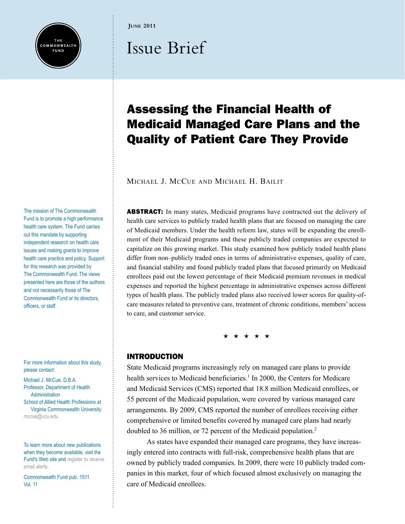

**June 2011**

# Issue Brief

# Assessing the Financial Health of Medicaid Managed Care Plans and the Quality of Patient Care They Provide

Michael J. McCue and Michael H. Bailit

**ABSTRACT:** In many states, Medicaid programs have contracted out the delivery of health care services to publicly traded health plans that are focused on managing the care of Medicaid members. Under the health reform law, states will be expanding the enrollment of their Medicaid programs and these publicly traded companies are expected to capitalize on this growing market. This study examined how publicly traded health plans differ from non–publicly traded ones in terms of administrative expenses, quality of care, and financial stability and found publicly traded plans that focused primarily on Medicaid enrollees paid out the lowest percentage of their Medicaid premium revenues in medical expenses and reported the highest percentage in administrative expenses across different types of health plans. The publicly traded plans also received lower scores for quality-ofcare measures related to preventive care, treatment of chronic conditions, members' access to care, and customer service.

\* \* \* \* \*

# INTRODUCTION

State Medicaid programs increasingly rely on managed care plans to provide health services to Medicaid beneficiaries.<sup>1</sup> In 2000, the Centers for Medicare and Medicaid Services (CMS) reported that 18.8 million Medicaid enrollees, or 55 percent of the Medicaid population, were covered by various managed care arrangements. By 2009, CMS reported the number of enrollees receiving either comprehensive or limited benefits covered by managed care plans had nearly doubled to 36 million, or 72 percent of the Medicaid population.2

As states have expanded their managed care programs, they have increasingly entered into contracts with full-risk, comprehensive health plans that are owned by publicly traded companies. In 2009, there were 10 publicly traded companies in this market, four of which focused almost exclusively on managing the care of Medicaid enrollees.

The mission of The Commonwealth Fund is to promote a high performance health care system. The Fund carries out this mandate by supporting independent research on health care issues and making grants to improve health care practice and policy. Support for this research was provided by The Commonwealth Fund. The views presented here are those of the authors and not necessarily those of The Commonwealth Fund or its directors, officers, or staff.

For more information about this study, please contact:

Michael J. McCue, D.B.A. Professor, Department of Health **Administration** School of Allied Health Professions at Virginia Commonwealth University [mccue@vcu.edu](mailto:mccue@vcu.edu)

To learn more about new publications when they become available, visit the Fund's Web site and [register to receive](http://www.commonwealthfund.org/myprofile/myprofile_edit.htm)  [email alerts.](http://www.commonwealthfund.org/myprofile/myprofile_edit.htm)

Commonwealth Fund pub. 1511 Vol. 11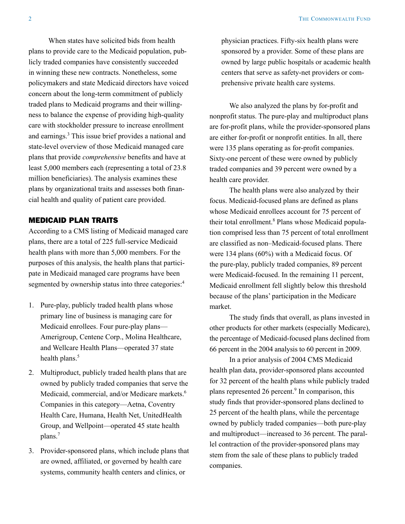When states have solicited bids from health plans to provide care to the Medicaid population, publicly traded companies have consistently succeeded in winning these new contracts. Nonetheless, some policymakers and state Medicaid directors have voiced concern about the long-term commitment of publicly traded plans to Medicaid programs and their willingness to balance the expense of providing high-quality care with stockholder pressure to increase enrollment and earnings.<sup>3</sup> This issue brief provides a national and state-level overview of those Medicaid managed care plans that provide *comprehensive* benefits and have at least 5,000 members each (representing a total of 23.8 million beneficiaries). The analysis examines these plans by organizational traits and assesses both financial health and quality of patient care provided.

# MEDICAID PLAN TRAITS

According to a CMS listing of Medicaid managed care plans, there are a total of 225 full-service Medicaid health plans with more than 5,000 members. For the purposes of this analysis, the health plans that participate in Medicaid managed care programs have been segmented by ownership status into three categories:<sup>4</sup>

- 1. Pure-play, publicly traded health plans whose primary line of business is managing care for Medicaid enrollees. Four pure-play plans— Amerigroup, Centene Corp., Molina Healthcare, and Wellcare Health Plans—operated 37 state health plans.<sup>5</sup>
- 2. Multiproduct, publicly traded health plans that are owned by publicly traded companies that serve the Medicaid, commercial, and/or Medicare markets.<sup>6</sup> Companies in this category—Aetna, Coventry Health Care, Humana, Health Net, UnitedHealth Group, and Wellpoint—operated 45 state health plans.7
- 3. Provider-sponsored plans, which include plans that are owned, affiliated, or governed by health care systems, community health centers and clinics, or

physician practices. Fifty-six health plans were sponsored by a provider. Some of these plans are owned by large public hospitals or academic health centers that serve as safety-net providers or comprehensive private health care systems.

We also analyzed the plans by for-profit and nonprofit status. The pure-play and multiproduct plans are for-profit plans, while the provider-sponsored plans are either for-profit or nonprofit entities. In all, there were 135 plans operating as for-profit companies. Sixty-one percent of these were owned by publicly traded companies and 39 percent were owned by a health care provider.

The health plans were also analyzed by their focus. Medicaid-focused plans are defined as plans whose Medicaid enrollees account for 75 percent of their total enrollment.<sup>8</sup> Plans whose Medicaid population comprised less than 75 percent of total enrollment are classified as non–Medicaid-focused plans. There were 134 plans (60%) with a Medicaid focus. Of the pure-play, publicly traded companies, 89 percent were Medicaid-focused. In the remaining 11 percent, Medicaid enrollment fell slightly below this threshold because of the plans' participation in the Medicare market.

The study finds that overall, as plans invested in other products for other markets (especially Medicare), the percentage of Medicaid-focused plans declined from 66 percent in the 2004 analysis to 60 percent in 2009.

In a prior analysis of 2004 CMS Medicaid health plan data, provider-sponsored plans accounted for 32 percent of the health plans while publicly traded plans represented 26 percent.<sup>9</sup> In comparison, this study finds that provider-sponsored plans declined to 25 percent of the health plans, while the percentage owned by publicly traded companies—both pure-play and multiproduct—increased to 36 percent. The parallel contraction of the provider-sponsored plans may stem from the sale of these plans to publicly traded companies.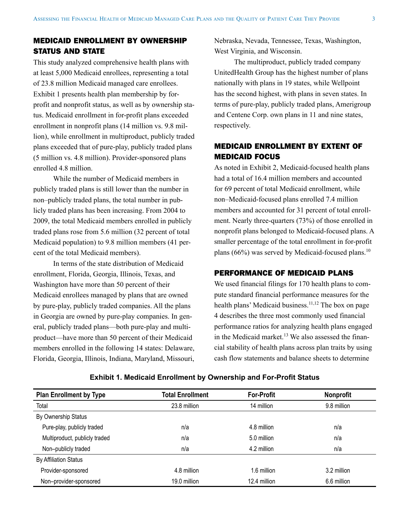# MEDICAID ENROLLMENT BY OWNERSHIP STATUS AND STATE

This study analyzed comprehensive health plans with at least 5,000 Medicaid enrollees, representing a total of 23.8 million Medicaid managed care enrollees. Exhibit 1 presents health plan membership by forprofit and nonprofit status, as well as by ownership status. Medicaid enrollment in for-profit plans exceeded enrollment in nonprofit plans (14 million vs. 9.8 million), while enrollment in multiproduct, publicly traded plans exceeded that of pure-play, publicly traded plans (5 million vs. 4.8 million). Provider-sponsored plans enrolled 4.8 million.

While the number of Medicaid members in publicly traded plans is still lower than the number in non–publicly traded plans, the total number in publicly traded plans has been increasing. From 2004 to 2009, the total Medicaid members enrolled in publicly traded plans rose from 5.6 million (32 percent of total Medicaid population) to 9.8 million members (41 percent of the total Medicaid members).

In terms of the state distribution of Medicaid enrollment, Florida, Georgia, Illinois, Texas, and Washington have more than 50 percent of their Medicaid enrollees managed by plans that are owned by pure-play, publicly traded companies. All the plans in Georgia are owned by pure-play companies. In general, publicly traded plans—both pure-play and multiproduct—have more than 50 percent of their Medicaid members enrolled in the following 14 states: Delaware, Florida, Georgia, Illinois, Indiana, Maryland, Missouri,

Nebraska, Nevada, Tennessee, Texas, Washington, West Virginia, and Wisconsin.

The multiproduct, publicly traded company UnitedHealth Group has the highest number of plans nationally with plans in 19 states, while Wellpoint has the second highest, with plans in seven states. In terms of pure-play, publicly traded plans, Amerigroup and Centene Corp. own plans in 11 and nine states, respectively.

# MEDICAID ENROLLMENT BY EXTENT OF MEDICAID FOCUS

As noted in Exhibit 2, Medicaid-focused health plans had a total of 16.4 million members and accounted for 69 percent of total Medicaid enrollment, while non–Medicaid-focused plans enrolled 7.4 million members and accounted for 31 percent of total enrollment. Nearly three-quarters (73%) of those enrolled in nonprofit plans belonged to Medicaid-focused plans. A smaller percentage of the total enrollment in for-profit plans (66%) was served by Medicaid-focused plans.<sup>10</sup>

# PERFORMANCE OF MEDICAID PLANS

We used financial filings for 170 health plans to compute standard financial performance measures for the health plans' Medicaid business.<sup>11,12</sup> The box on page 4 describes the three most commonly used financial performance ratios for analyzing health plans engaged in the Medicaid market.<sup>13</sup> We also assessed the financial stability of health plans across plan traits by using cash flow statements and balance sheets to determine

| <b>Plan Enrollment by Type</b> | <b>Total Enrollment</b> | <b>For-Profit</b> | <b>Nonprofit</b> |
|--------------------------------|-------------------------|-------------------|------------------|
| Total                          | 23.8 million            | 14 million        | 9.8 million      |
| By Ownership Status            |                         |                   |                  |
| Pure-play, publicly traded     | n/a                     | 4.8 million       | n/a              |
| Multiproduct, publicly traded  | n/a                     | 5.0 million       | n/a              |
| Non-publicly traded            | n/a                     | 4.2 million       | n/a              |
| <b>By Affiliation Status</b>   |                         |                   |                  |
| Provider-sponsored             | 4.8 million             | 1.6 million       | 3.2 million      |
| Non-provider-sponsored         | 19.0 million            | 12.4 million      | 6.6 million      |

#### **Exhibit 1. Medicaid Enrollment by Ownership and For-Profit Status**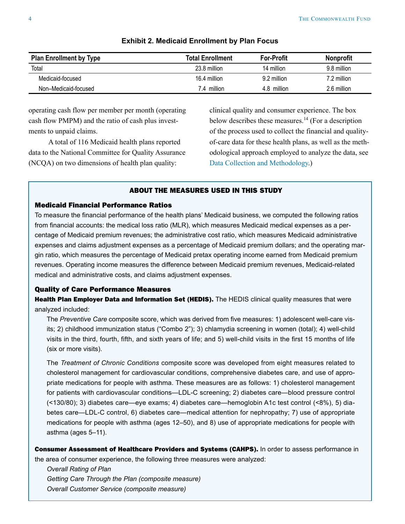<span id="page-3-0"></span>

| <b>Plan Enrollment by Type</b> | <b>Total Enrollment</b> | <b>For-Profit</b> | <b>Nonprofit</b> |
|--------------------------------|-------------------------|-------------------|------------------|
| Total                          | 23.8 million            | 14 million        | 9.8 million      |
| Medicaid-focused               | 16.4 million            | 9.2 million       | 7.2 million      |
| Non-Medicaid-focused           | 7.4 million             | 4.8 million       | 2.6 million      |

#### **Exhibit 2. Medicaid Enrollment by Plan Focus**

operating cash flow per member per month (operating cash flow PMPM) and the ratio of cash plus investments to unpaid claims.

A total of 116 Medicaid health plans reported data to the National Committee for Quality Assurance (NCQA) on two dimensions of health plan quality:

clinical quality and consumer experience. The box below describes these measures.<sup>14</sup> (For a description of the process used to collect the financial and qualityof-care data for these health plans, as well as the methodological approach employed to analyze the data, see [Data Collection and Methodology](#page-14-0).)

# ABOUT THE MEASURES USED IN THIS STUDY

# Medicaid Financial Performance Ratios

To measure the financial performance of the health plans' Medicaid business, we computed the following ratios from financial accounts: the medical loss ratio (MLR), which measures Medicaid medical expenses as a percentage of Medicaid premium revenues; the administrative cost ratio, which measures Medicaid administrative expenses and claims adjustment expenses as a percentage of Medicaid premium dollars; and the operating margin ratio, which measures the percentage of Medicaid pretax operating income earned from Medicaid premium revenues. Operating income measures the difference between Medicaid premium revenues, Medicaid-related medical and administrative costs, and claims adjustment expenses.

#### Quality of Care Performance Measures

Health Plan Employer Data and Information Set (HEDIS). The HEDIS clinical quality measures that were analyzed included:

The *Preventive Care* composite score, which was derived from five measures: 1) adolescent well-care visits; 2) childhood immunization status ("Combo 2"); 3) chlamydia screening in women (total); 4) well-child visits in the third, fourth, fifth, and sixth years of life; and 5) well-child visits in the first 15 months of life (six or more visits).

The *Treatment of Chronic Conditions* composite score was developed from eight measures related to cholesterol management for cardiovascular conditions, comprehensive diabetes care, and use of appropriate medications for people with asthma. These measures are as follows: 1) cholesterol management for patients with cardiovascular conditions—LDL-C screening; 2) diabetes care—blood pressure control (<130/80); 3) diabetes care—eye exams; 4) diabetes care—hemoglobin A1c test control (<8%), 5) diabetes care—LDL-C control, 6) diabetes care—medical attention for nephropathy; 7) use of appropriate medications for people with asthma (ages 12–50), and 8) use of appropriate medications for people with asthma (ages 5–11).

Consumer Assessment of Healthcare Providers and Systems (CAHPS). In order to assess performance in the area of consumer experience, the following three measures were analyzed:

*Overall Rating of Plan Getting Care Through the Plan (composite measure) Overall Customer Service (composite measure)*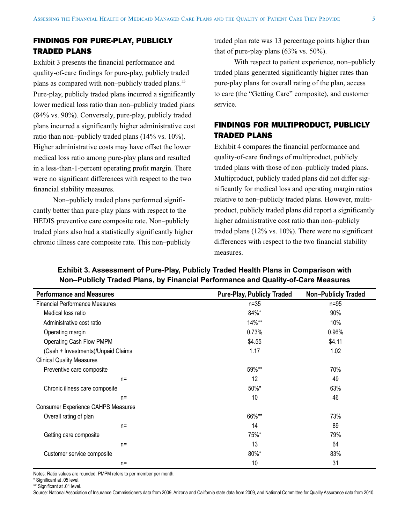# FINDINGS FOR PURE-PLAY, PUBLICLY TRADED PLANS

Exhibit 3 presents the financial performance and quality-of-care findings for pure-play, publicly traded plans as compared with non–publicly traded plans.15 Pure-play, publicly traded plans incurred a significantly lower medical loss ratio than non–publicly traded plans (84% vs. 90%). Conversely, pure-play, publicly traded plans incurred a significantly higher administrative cost ratio than non–publicly traded plans (14% vs. 10%). Higher administrative costs may have offset the lower medical loss ratio among pure-play plans and resulted in a less-than-1-percent operating profit margin. There were no significant differences with respect to the two financial stability measures.

Non–publicly traded plans performed significantly better than pure-play plans with respect to the HEDIS preventive care composite rate. Non–publicly traded plans also had a statistically significantly higher chronic illness care composite rate. This non–publicly

traded plan rate was 13 percentage points higher than that of pure-play plans  $(63\% \text{ vs. } 50\%).$ 

With respect to patient experience, non–publicly traded plans generated significantly higher rates than pure-play plans for overall rating of the plan, access to care (the "Getting Care" composite), and customer service.

# FINDINGS FOR MULTIPRODUCT, PUBLICLY TRADED PLANS

Exhibit 4 compares the financial performance and quality-of-care findings of multiproduct, publicly traded plans with those of non–publicly traded plans. Multiproduct, publicly traded plans did not differ significantly for medical loss and operating margin ratios relative to non–publicly traded plans. However, multiproduct, publicly traded plans did report a significantly higher administrative cost ratio than non–publicly traded plans (12% vs. 10%). There were no significant differences with respect to the two financial stability measures.

| <b>Performance and Measures</b>           | <b>Pure-Play, Publicly Traded</b> | <b>Non-Publicly Traded</b> |
|-------------------------------------------|-----------------------------------|----------------------------|
| <b>Financial Performance Measures</b>     | $n=35$                            | $n=95$                     |
| Medical loss ratio                        | 84%*                              | 90%                        |
| Administrative cost ratio                 | $14\%**$                          | 10%                        |
| Operating margin                          | 0.73%                             | 0.96%                      |
| Operating Cash Flow PMPM                  | \$4.55                            | \$4.11                     |
| (Cash + Investments)/Unpaid Claims        | 1.17                              | 1.02                       |
| <b>Clinical Quality Measures</b>          |                                   |                            |
| Preventive care composite                 | 59%**                             | 70%                        |
| $n=$                                      | 12                                | 49                         |
| Chronic illness care composite            | 50%*                              | 63%                        |
| $n=$                                      | 10                                | 46                         |
| <b>Consumer Experience CAHPS Measures</b> |                                   |                            |
| Overall rating of plan                    | 66%**                             | 73%                        |
| $n=$                                      | 14                                | 89                         |
| Getting care composite                    | 75%*                              | 79%                        |
| $n=$                                      | 13                                | 64                         |
| Customer service composite                | 80%*                              | 83%                        |
| $n=$                                      | 10                                | 31                         |

**Exhibit 3. Assessment of Pure-Play, Publicly Traded Health Plans in Comparison with Non–Publicly Traded Plans, by Financial Performance and Quality-of-Care Measures**

Notes: Ratio values are rounded. PMPM refers to per member per month.

\* Significant at .05 level.

\*\* Significant at .01 level.

Source: National Association of Insurance Commissioners data from 2009, Arizona and California state data from 2009, and National Committee for Quality Assurance data from 2010.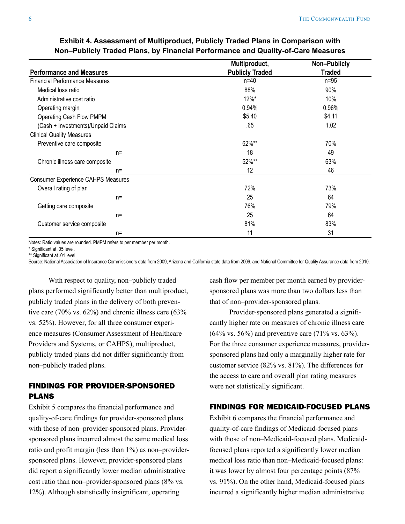#### **Performance and Measures Multiproduct, Publicly Traded Non–Publicly Traded** Financial Performance Measures n=40 n=95 Medical loss ratio 88% 90% Administrative cost ratio 12% and the cost ratio 12% and the cost ratio 12% and the cost ratio 10% and the cost ratio Operating margin 0.96% 0.96% 0.96% 0.96% 0.96% 0.96% 0.96% 0.96% 0.96% 0.96% 0.96% 0.96% 0.96% 0.96% 0.96% 0.96% 0.96% 0.96% 0.96% 0.96% 0.96% 0.96% 0.96% 0.96% 0.96% 0.96% 0.96% 0.96% 0.96% 0.96% 0.96% 0.96% 0.96% 0.96% 0 Operating Cash Flow PMPM  $$4.11$  (Cash + Investments)/Unpaid Claims .65 1.02 Clinical Quality Measures Preventive care composite  $70\%$  $n=$  18  $49$ Chronic illness care composite 63% and the state of the state of the state of the state 63% control of the state of the state  $63\%$ n= 12 12 46 Consumer Experience CAHPS Measures Overall rating of plan 72% 73%  $n=$  64 Getting care composite  $76\%$  79% 79%  $n=$  64 Customer service composite 81% 83% 83% n= 31

# **Exhibit 4. Assessment of Multiproduct, Publicly Traded Plans in Comparison with Non–Publicly Traded Plans, by Financial Performance and Quality-of-Care Measures**

Notes: Ratio values are rounded. PMPM refers to per member per month.

\* Significant at .05 level.

\*\* Significant at .01 level.

Source: National Association of Insurance Commissioners data from 2009, Arizona and California state data from 2009, and National Committee for Quality Assurance data from 2010.

With respect to quality, non–publicly traded plans performed significantly better than multiproduct, publicly traded plans in the delivery of both preventive care (70% vs. 62%) and chronic illness care (63% vs. 52%). However, for all three consumer experience measures (Consumer Assessment of Healthcare Providers and Systems, or CAHPS), multiproduct, publicly traded plans did not differ significantly from non–publicly traded plans.

# FINDINGS FOR PROVIDER-SPONSORED PLANS

Exhibit 5 compares the financial performance and quality-of-care findings for provider-sponsored plans with those of non–provider-sponsored plans. Providersponsored plans incurred almost the same medical loss ratio and profit margin (less than 1%) as non–providersponsored plans. However, provider-sponsored plans did report a significantly lower median administrative cost ratio than non–provider-sponsored plans (8% vs. 12%). Although statistically insignificant, operating

cash flow per member per month earned by providersponsored plans was more than two dollars less than that of non–provider-sponsored plans.

Provider-sponsored plans generated a significantly higher rate on measures of chronic illness care  $(64\% \text{ vs. } 56\%)$  and preventive care  $(71\% \text{ vs. } 63\%).$ For the three consumer experience measures, providersponsored plans had only a marginally higher rate for customer service (82% vs. 81%). The differences for the access to care and overall plan rating measures were not statistically significant.

# FINDINGS FOR MEDICAID-FOCUSED PLANS

Exhibit 6 compares the financial performance and quality-of-care findings of Medicaid-focused plans with those of non–Medicaid-focused plans. Medicaidfocused plans reported a significantly lower median medical loss ratio than non–Medicaid-focused plans: it was lower by almost four percentage points (87% vs. 91%). On the other hand, Medicaid-focused plans incurred a significantly higher median administrative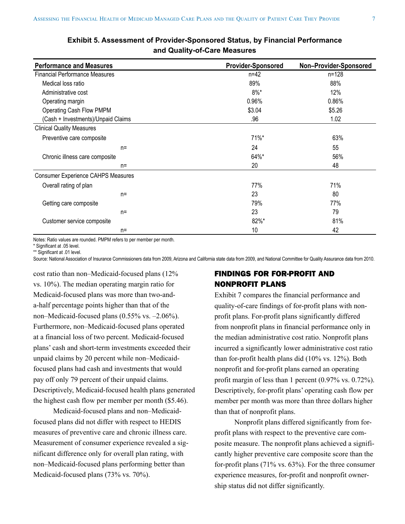| <b>Performance and Measures</b>       | <b>Provider-Sponsored</b> | Non-Provider-Sponsored |
|---------------------------------------|---------------------------|------------------------|
| <b>Financial Performance Measures</b> | $n = 42$                  | $n = 128$              |
|                                       |                           |                        |
| Medical loss ratio                    | 89%                       | 88%                    |
| Administrative cost                   | $8\%$ *                   | 12%                    |
| Operating margin                      | 0.96%                     | 0.86%                  |
| Operating Cash Flow PMPM              | \$3.04                    | \$5.26                 |
| (Cash + Investments)/Unpaid Claims    | .96                       | 1.02                   |
| <b>Clinical Quality Measures</b>      |                           |                        |
| Preventive care composite             | 71%*                      | 63%                    |
| $n=$                                  | 24                        | 55                     |
| Chronic illness care composite        | 64%*                      | 56%                    |
| $n=$                                  | 20                        | 48                     |
| Consumer Experience CAHPS Measures    |                           |                        |
| Overall rating of plan                | 77%                       | 71%                    |
| $n=$                                  | 23                        | 80                     |
| Getting care composite                | 79%                       | 77%                    |
| $n =$                                 | 23                        | 79                     |
| Customer service composite            | 82%*                      | 81%                    |
| $n=$                                  | 10                        | 42                     |

# **Exhibit 5. Assessment of Provider-Sponsored Status, by Financial Performance and Quality-of-Care Measures**

Notes: Ratio values are rounded. PMPM refers to per member per month.

\* Significant at .05 level.

\*\* Significant at .01 level.

Source: National Association of Insurance Commissioners data from 2009, Arizona and California state data from 2009, and National Committee for Quality Assurance data from 2010.

cost ratio than non–Medicaid-focused plans (12% vs. 10%). The median operating margin ratio for Medicaid-focused plans was more than two-anda-half percentage points higher than that of the non–Medicaid-focused plans (0.55% vs. –2.06%). Furthermore, non–Medicaid-focused plans operated at a financial loss of two percent. Medicaid-focused plans' cash and short-term investments exceeded their unpaid claims by 20 percent while non–Medicaidfocused plans had cash and investments that would pay off only 79 percent of their unpaid claims. Descriptively, Medicaid-focused health plans generated the highest cash flow per member per month (\$5.46).

Medicaid-focused plans and non–Medicaidfocused plans did not differ with respect to HEDIS measures of preventive care and chronic illness care. Measurement of consumer experience revealed a significant difference only for overall plan rating, with non–Medicaid-focused plans performing better than Medicaid-focused plans (73% vs. 70%).

# FINDINGS FOR FOR-PROFIT AND NONPROFIT PLANS

Exhibit 7 compares the financial performance and quality-of-care findings of for-profit plans with nonprofit plans. For-profit plans significantly differed from nonprofit plans in financial performance only in the median administrative cost ratio. Nonprofit plans incurred a significantly lower administrative cost ratio than for-profit health plans did (10% vs. 12%). Both nonprofit and for-profit plans earned an operating profit margin of less than 1 percent (0.97% vs. 0.72%). Descriptively, for-profit plans' operating cash flow per member per month was more than three dollars higher than that of nonprofit plans.

Nonprofit plans differed significantly from forprofit plans with respect to the preventive care composite measure. The nonprofit plans achieved a significantly higher preventive care composite score than the for-profit plans (71% vs. 63%). For the three consumer experience measures, for-profit and nonprofit ownership status did not differ significantly.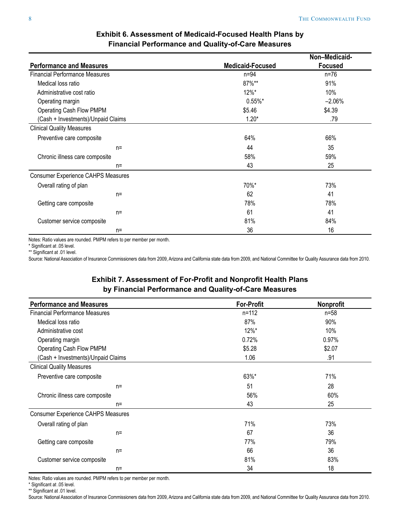|                                           |                         | Non-Medicaid-  |
|-------------------------------------------|-------------------------|----------------|
| <b>Performance and Measures</b>           | <b>Medicaid-Focused</b> | <b>Focused</b> |
| <b>Financial Performance Measures</b>     | $n=94$                  | $n = 76$       |
| Medical loss ratio                        | 87%**                   | 91%            |
| Administrative cost ratio                 | $12\%$ *                | 10%            |
| Operating margin                          | $0.55\%$ *              | $-2.06%$       |
| <b>Operating Cash Flow PMPM</b>           | \$5.46                  | \$4.39         |
| (Cash + Investments)/Unpaid Claims        | $1.20*$                 | .79            |
| <b>Clinical Quality Measures</b>          |                         |                |
| Preventive care composite                 | 64%                     | 66%            |
| $n=$                                      | 44                      | 35             |
| Chronic illness care composite            | 58%                     | 59%            |
| $n=$                                      | 43                      | 25             |
| <b>Consumer Experience CAHPS Measures</b> |                         |                |
| Overall rating of plan                    | 70%*                    | 73%            |
| $n=$                                      | 62                      | 41             |
| Getting care composite                    | 78%                     | 78%            |
| $n=$                                      | 61                      | 41             |
| Customer service composite                | 81%                     | 84%            |
| $n=$                                      | 36                      | 16             |

# **Exhibit 6. Assessment of Medicaid-Focused Health Plans by Financial Performance and Quality-of-Care Measures**

Notes: Ratio values are rounded. PMPM refers to per member per month.

\* Significant at .05 level.

\*\* Significant at .01 level.

Source: National Association of Insurance Commissioners data from 2009, Arizona and California state data from 2009, and National Committee for Quality Assurance data from 2010.

# **Exhibit 7. Assessment of For-Profit and Nonprofit Health Plans by Financial Performance and Quality-of-Care Measures**

| <b>Performance and Measures</b>           | <b>For-Profit</b> | <b>Nonprofit</b> |
|-------------------------------------------|-------------------|------------------|
| <b>Financial Performance Measures</b>     | $n = 112$         | $n = 58$         |
| Medical loss ratio                        | 87%               | 90%              |
| Administrative cost                       | 12%*              | 10%              |
| Operating margin                          | 0.72%             | 0.97%            |
| Operating Cash Flow PMPM                  | \$5.28            | \$2.07           |
| (Cash + Investments)/Unpaid Claims        | 1.06              | .91              |
| <b>Clinical Quality Measures</b>          |                   |                  |
| Preventive care composite                 | 63%*              | 71%              |
| $n =$                                     | 51                | 28               |
| Chronic illness care composite            | 56%               | 60%              |
| $n =$                                     | 43                | 25               |
| <b>Consumer Experience CAHPS Measures</b> |                   |                  |
| Overall rating of plan                    | 71%               | 73%              |
| $n =$                                     | 67                | 36               |
| Getting care composite                    | 77%               | 79%              |
| $n=$                                      | 66                | 36               |
| Customer service composite                | 81%               | 83%              |
| $n =$                                     | 34                | 18               |

Notes: Ratio values are rounded. PMPM refers to per member per month.

\* Significant at .05 level.

\*\* Significant at .01 level.

Source: National Association of Insurance Commissioners data from 2009, Arizona and California state data from 2009, and National Committee for Quality Assurance data from 2010.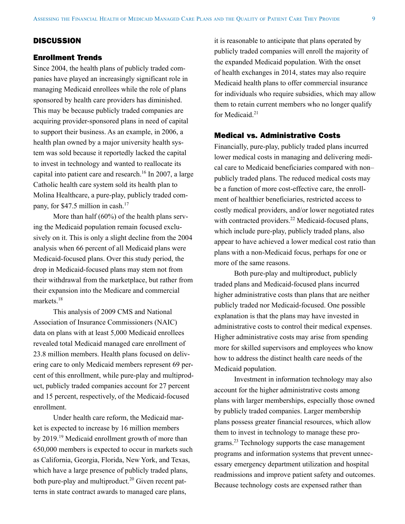# **DISCUSSION**

#### Enrollment Trends

Since 2004, the health plans of publicly traded companies have played an increasingly significant role in managing Medicaid enrollees while the role of plans sponsored by health care providers has diminished. This may be because publicly traded companies are acquiring provider-sponsored plans in need of capital to support their business. As an example, in 2006, a health plan owned by a major university health system was sold because it reportedly lacked the capital to invest in technology and wanted to reallocate its capital into patient care and research.<sup>16</sup> In 2007, a large Catholic health care system sold its health plan to Molina Healthcare, a pure-play, publicly traded company, for \$47.5 million in cash.<sup>17</sup>

More than half (60%) of the health plans serving the Medicaid population remain focused exclusively on it. This is only a slight decline from the 2004 analysis when 66 percent of all Medicaid plans were Medicaid-focused plans. Over this study period, the drop in Medicaid-focused plans may stem not from their withdrawal from the marketplace, but rather from their expansion into the Medicare and commercial markets.18

This analysis of 2009 CMS and National Association of Insurance Commissioners (NAIC) data on plans with at least 5,000 Medicaid enrollees revealed total Medicaid managed care enrollment of 23.8 million members. Health plans focused on delivering care to only Medicaid members represent 69 percent of this enrollment, while pure-play and multiproduct, publicly traded companies account for 27 percent and 15 percent, respectively, of the Medicaid-focused enrollment.

Under health care reform, the Medicaid market is expected to increase by 16 million members by 2019.19 Medicaid enrollment growth of more than 650,000 members is expected to occur in markets such as California, Georgia, Florida, New York, and Texas, which have a large presence of publicly traded plans, both pure-play and multiproduct.<sup>20</sup> Given recent patterns in state contract awards to managed care plans,

it is reasonable to anticipate that plans operated by publicly traded companies will enroll the majority of the expanded Medicaid population. With the onset of health exchanges in 2014, states may also require Medicaid health plans to offer commercial insurance for individuals who require subsidies, which may allow them to retain current members who no longer qualify for Medicaid. $21$ 

# Medical vs. Administrative Costs

Financially, pure-play, publicly traded plans incurred lower medical costs in managing and delivering medical care to Medicaid beneficiaries compared with non– publicly traded plans. The reduced medical costs may be a function of more cost-effective care, the enrollment of healthier beneficiaries, restricted access to costly medical providers, and/or lower negotiated rates with contracted providers.<sup>22</sup> Medicaid-focused plans, which include pure-play, publicly traded plans, also appear to have achieved a lower medical cost ratio than plans with a non-Medicaid focus, perhaps for one or more of the same reasons.

Both pure-play and multiproduct, publicly traded plans and Medicaid-focused plans incurred higher administrative costs than plans that are neither publicly traded nor Medicaid-focused. One possible explanation is that the plans may have invested in administrative costs to control their medical expenses. Higher administrative costs may arise from spending more for skilled supervisors and employees who know how to address the distinct health care needs of the Medicaid population.

Investment in information technology may also account for the higher administrative costs among plans with larger memberships, especially those owned by publicly traded companies. Larger membership plans possess greater financial resources, which allow them to invest in technology to manage these programs.<sup>23</sup> Technology supports the case management programs and information systems that prevent unnecessary emergency department utilization and hospital readmissions and improve patient safety and outcomes. Because technology costs are expensed rather than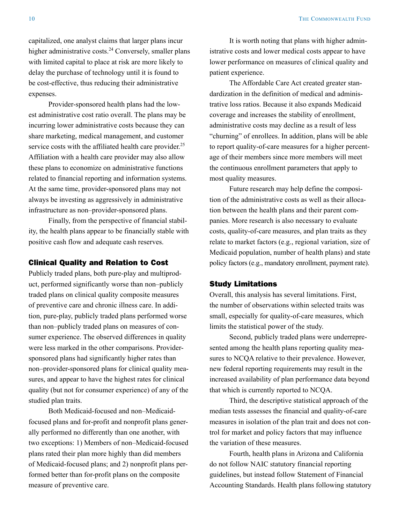capitalized, one analyst claims that larger plans incur higher administrative costs. $24$  Conversely, smaller plans with limited capital to place at risk are more likely to delay the purchase of technology until it is found to be cost-effective, thus reducing their administrative expenses.

Provider-sponsored health plans had the lowest administrative cost ratio overall. The plans may be incurring lower administrative costs because they can share marketing, medical management, and customer service costs with the affiliated health care provider.<sup>25</sup> Affiliation with a health care provider may also allow these plans to economize on administrative functions related to financial reporting and information systems. At the same time, provider-sponsored plans may not always be investing as aggressively in administrative infrastructure as non–provider-sponsored plans.

Finally, from the perspective of financial stability, the health plans appear to be financially stable with positive cash flow and adequate cash reserves.

#### Clinical Quality and Relation to Cost

Publicly traded plans, both pure-play and multiproduct, performed significantly worse than non–publicly traded plans on clinical quality composite measures of preventive care and chronic illness care. In addition, pure-play, publicly traded plans performed worse than non–publicly traded plans on measures of consumer experience. The observed differences in quality were less marked in the other comparisons. Providersponsored plans had significantly higher rates than non–provider-sponsored plans for clinical quality measures, and appear to have the highest rates for clinical quality (but not for consumer experience) of any of the studied plan traits.

Both Medicaid-focused and non–Medicaidfocused plans and for-profit and nonprofit plans generally performed no differently than one another, with two exceptions: 1) Members of non–Medicaid-focused plans rated their plan more highly than did members of Medicaid-focused plans; and 2) nonprofit plans performed better than for-profit plans on the composite measure of preventive care.

It is worth noting that plans with higher administrative costs and lower medical costs appear to have lower performance on measures of clinical quality and patient experience.

The Affordable Care Act created greater standardization in the definition of medical and administrative loss ratios. Because it also expands Medicaid coverage and increases the stability of enrollment, administrative costs may decline as a result of less "churning" of enrollees. In addition, plans will be able to report quality-of-care measures for a higher percentage of their members since more members will meet the continuous enrollment parameters that apply to most quality measures.

Future research may help define the composition of the administrative costs as well as their allocation between the health plans and their parent companies. More research is also necessary to evaluate costs, quality-of-care measures, and plan traits as they relate to market factors (e.g., regional variation, size of Medicaid population, number of health plans) and state policy factors (e.g., mandatory enrollment, payment rate).

#### Study Limitations

Overall, this analysis has several limitations. First, the number of observations within selected traits was small, especially for quality-of-care measures, which limits the statistical power of the study.

Second, publicly traded plans were underrepresented among the health plans reporting quality measures to NCQA relative to their prevalence. However, new federal reporting requirements may result in the increased availability of plan performance data beyond that which is currently reported to NCQA.

Third, the descriptive statistical approach of the median tests assesses the financial and quality-of-care measures in isolation of the plan trait and does not control for market and policy factors that may influence the variation of these measures.

Fourth, health plans in Arizona and California do not follow NAIC statutory financial reporting guidelines, but instead follow Statement of Financial Accounting Standards. Health plans following statutory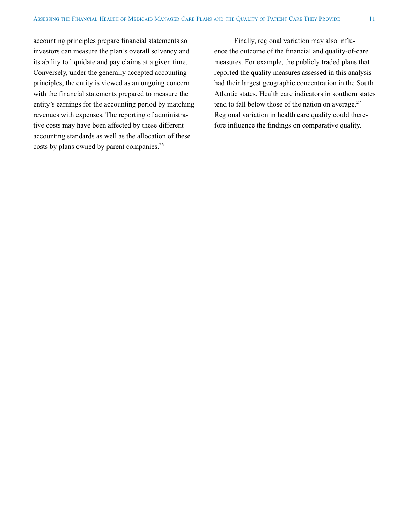accounting principles prepare financial statements so investors can measure the plan's overall solvency and its ability to liquidate and pay claims at a given time. Conversely, under the generally accepted accounting principles, the entity is viewed as an ongoing concern with the financial statements prepared to measure the entity's earnings for the accounting period by matching revenues with expenses. The reporting of administrative costs may have been affected by these different accounting standards as well as the allocation of these costs by plans owned by parent companies.<sup>26</sup>

Finally, regional variation may also influence the outcome of the financial and quality-of-care measures. For example, the publicly traded plans that reported the quality measures assessed in this analysis had their largest geographic concentration in the South Atlantic states. Health care indicators in southern states tend to fall below those of the nation on average. $27$ Regional variation in health care quality could therefore influence the findings on comparative quality.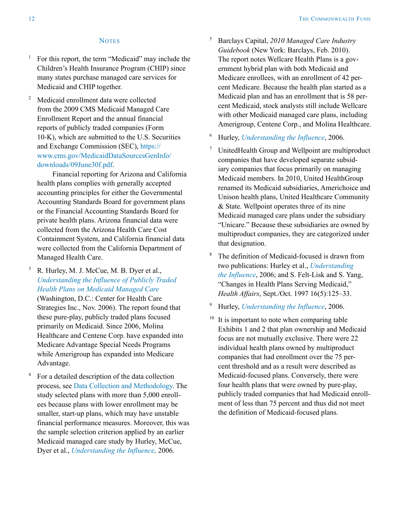#### **NOTES**

- <sup>1</sup> For this report, the term "Medicaid" may include the Children's Health Insurance Program (CHIP) since many states purchase managed care services for Medicaid and CHIP together.
- <sup>2</sup> Medicaid enrollment data were collected from the 2009 CMS Medicaid Managed Care Enrollment Report and the annual financial reports of publicly traded companies (Form 10-K), which are submitted to the U.S. Securities and Exchange Commission (SEC), [https://](https://www.cms.gov/MedicaidDataSourcesGenInfo/downloads/09June30f.pdf) [www.cms.gov/MedicaidDataSourcesGenInfo/](https://www.cms.gov/MedicaidDataSourcesGenInfo/downloads/09June30f.pdf) [downloads/09June30f.pdf](https://www.cms.gov/MedicaidDataSourcesGenInfo/downloads/09June30f.pdf).

Financial reporting for Arizona and California health plans complies with generally accepted accounting principles for either the Governmental Accounting Standards Board for government plans or the Financial Accounting Standards Board for private health plans. Arizona financial data were collected from the Arizona Health Care Cost Containment System, and California financial data were collected from the California Department of Managed Health Care.

# $3$  R. Hurley, M. J. McCue, M. B. Dyer et al., *[Understanding the Influence of Publicly Traded](http://www.chcs.org/publications3960/publications_show.htm?doc_id=421923)  [Health Plans on Medicaid Managed Care](http://www.chcs.org/publications3960/publications_show.htm?doc_id=421923)*

(Washington, D.C.: Center for Health Care Strategies Inc., Nov. 2006). The report found that these pure-play, publicly traded plans focused primarily on Medicaid. Since 2006, Molina Healthcare and Centene Corp. have expanded into Medicare Advantage Special Needs Programs while Amerigroup has expanded into Medicare Advantage.

<sup>4</sup> For a detailed description of the data collection process, see [Data Collection and Methodology.](#page-14-0) The study selected plans with more than 5,000 enrollees because plans with lower enrollment may be smaller, start-up plans, which may have unstable financial performance measures. Moreover, this was the sample selection criterion applied by an earlier Medicaid managed care study by Hurley, McCue, Dyer et al., *[Understanding the Influence,](http://www.chcs.org/publications3960/publications_show.htm?doc_id=421923)* 2006.

- <sup>5</sup> Barclays Capital, *2010 Managed Care Industry Guidebook* (New York: Barclays, Feb. 2010). The report notes Wellcare Health Plans is a government hybrid plan with both Medicaid and Medicare enrollees, with an enrollment of 42 percent Medicare. Because the health plan started as a Medicaid plan and has an enrollment that is 58 percent Medicaid, stock analysts still include Wellcare with other Medicaid managed care plans, including Amerigroup, Centene Corp., and Molina Healthcare.
- <sup>6</sup> Hurley, *[Understanding the Influence](http://www.chcs.org/publications3960/publications_show.htm?doc_id=421923)*, 2006.
- UnitedHealth Group and Wellpoint are multiproduct companies that have developed separate subsidiary companies that focus primarily on managing Medicaid members. In 2010, United HealthGroup renamed its Medicaid subsidiaries, Americhoice and Unison health plans, United Healthcare Community & State. Wellpoint operates three of its nine Medicaid managed care plans under the subsidiary "Unicare." Because these subsidiaries are owned by multiproduct companies, they are categorized under that designation.
- <sup>8</sup> The definition of Medicaid-focused is drawn from two publications: Hurley et al., *[Understanding](http://www.chcs.org/publications3960/publications_show.htm?doc_id=421923)  [the Influence](http://www.chcs.org/publications3960/publications_show.htm?doc_id=421923)*, 2006; and S. Felt-Lisk and S. Yang, "Changes in Health Plans Serving Medicaid," *Health Affairs*, Sept./Oct. 1997 16(5):125–33.
- <sup>9</sup> Hurley, *[Understanding the Influence](http://www.chcs.org/publications3960/publications_show.htm?doc_id=421923)*, 2006.
- <sup>10</sup> It is important to note when comparing table Exhibits 1 and 2 that plan ownership and Medicaid focus are not mutually exclusive. There were 22 individual health plans owned by multiproduct companies that had enrollment over the 75 percent threshold and as a result were described as Medicaid-focused plans. Conversely, there were four health plans that were owned by pure-play, publicly traded companies that had Medicaid enrollment of less than 75 percent and thus did not meet the definition of Medicaid-focused plans.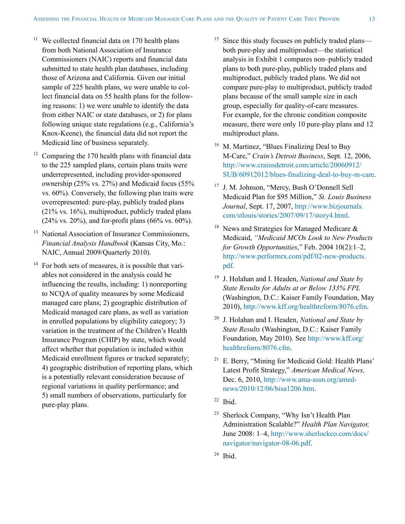- $11$  We collected financial data on 170 health plans from both National Association of Insurance Commissioners (NAIC) reports and financial data submitted to state health plan databases, including those of Arizona and California. Given our initial sample of 225 health plans, we were unable to collect financial data on 55 health plans for the following reasons: 1) we were unable to identify the data from either NAIC or state databases, or 2) for plans following unique state regulations (e.g., California's Knox-Keene), the financial data did not report the Medicaid line of business separately.
- $12$  Comparing the 170 health plans with financial data to the 225 sampled plans, certain plans traits were underrepresented, including provider-sponsored ownership (25% vs. 27%) and Medicaid focus (55% vs. 60%). Conversely, the following plan traits were overrepresented: pure-play, publicly traded plans (21% vs. 16%), multiproduct, publicly traded plans  $(24\% \text{ vs. } 20\%)$ , and for-profit plans  $(66\% \text{ vs. } 60\%)$ .
- <sup>13</sup> National Association of Insurance Commissioners. *Financial Analysis Handbook* (Kansas City, Mo.: NAIC, Annual 2009/Quarterly 2010).
- $14$  For both sets of measures, it is possible that variables not considered in the analysis could be influencing the results, including: 1) nonreporting to NCQA of quality measures by some Medicaid managed care plans; 2) geographic distribution of Medicaid managed care plans, as well as variation in enrolled populations by eligibility category; 3) variation in the treatment of the Children's Health Insurance Program (CHIP) by state, which would affect whether that population is included within Medicaid enrollment figures or tracked separately; 4) geographic distribution of reporting plans, which is a potentially relevant consideration because of regional variations in quality performance; and 5) small numbers of observations, particularly for pure-play plans.
- Since this study focuses on publicly traded plans both pure-play and multiproduct—the statistical analysis in Exhibit 1 compares non–publicly traded plans to both pure-play, publicly traded plans and multiproduct, publicly traded plans. We did not compare pure-play to multiproduct, publicly traded plans because of the small sample size in each group, especially for quality-of-care measures. For example, for the chronic condition composite measure, there were only 10 pure-play plans and 12 multiproduct plans.
- <sup>16</sup> M. Martinez, "Blues Finalizing Deal to Buy M-Care," *Crain's Detroit Business*, Sept. 12, 2006, [http://www.crainsdetroit.com/article/20060912/](http://www.crainsdetroit.com/article/20060912/SUB/60912012/blues-finalizing-deal-to-buy-m-care) [SUB/60912012/blues-finalizing-deal-to-buy-m-care](http://www.crainsdetroit.com/article/20060912/SUB/60912012/blues-finalizing-deal-to-buy-m-care).
- <sup>17</sup> J. M. Johnson, "Mercy, Bush O'Donnell Sell Medicaid Plan for \$95 Million," *St. Louis Business Journal*, Sept. 17, 2007, [http://www.bizjournals.](http://www.bizjournals.com/stlouis/stories/2007/09/17/story4.html) [com/stlouis/stories/2007/09/17/story4.html](http://www.bizjournals.com/stlouis/stories/2007/09/17/story4.html).
- <sup>18</sup> News and Strategies for Managed Medicare  $\&$ Medicaid, *"Medicaid MCOs Look to New Products for Growth Opportunities*," Feb. 2004 10(2):1–2, [http://www.performrx.com/pdf/02-new-products.](http://www.performrx.com/pdf/02-new-products.pdf) [pdf.](http://www.performrx.com/pdf/02-new-products.pdf)
- <sup>19</sup> J. Holahan and I. Headen, *National and State by State Results for Adults at or Below 133% FPL* (Washington, D.C.: Kaiser Family Foundation, May 2010), [http://www.kff.org/healthreform/8076.cfm.](http://www.kff.org/healthreform/8076.cfm)
- <sup>20</sup> J. Holahan and I. Headen, *National and State by State Results* (Washington, D.C.: Kaiser Family Foundation, May 2010). See [http://www.kff.org/](http://www.kff.org/healthreform/8076.cfm) [healthreform/8076.cfm.](http://www.kff.org/healthreform/8076.cfm)
- $21$  E. Berry, "Mining for Medicaid Gold: Health Plans" Latest Profit Strategy," *American Medical News,* Dec. 6, 2010, [http://www.ama-assn.org/amed](http://www.ama-assn.org/amednews/2010/12/06/bisa1206.htm)[news/2010/12/06/bisa1206.htm](http://www.ama-assn.org/amednews/2010/12/06/bisa1206.htm).
- $22$  Ibid.
- <sup>23</sup> Sherlock Company, "Why Isn't Health Plan Administration Scalable?" *Health Plan Navigator,* June 2008: 1–4, [http://www.sherlockco.com/docs/](http://www.sherlockco.com/docs/navigator/navigator-08-06.pdf) [navigator/navigator-08-06.pdf.](http://www.sherlockco.com/docs/navigator/navigator-08-06.pdf)
- $24$  Ibid.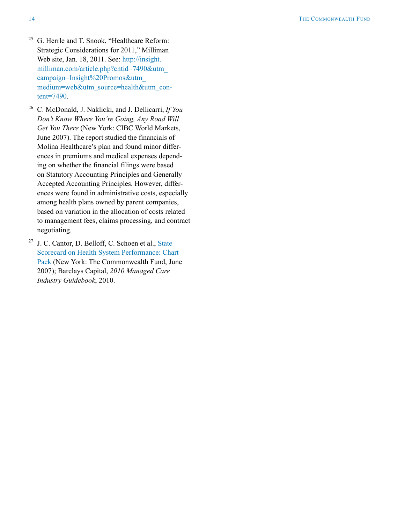- <sup>25</sup> G. Herrle and T. Snook, "Healthcare Reform: Strategic Considerations for 2011," Milliman Web site, Jan. 18, 2011. See: [http://insight.](http://insight.milliman.com/article.php?cntid=7490&utm_campaign=Insight%20Promos&utm_medium=web&utm_source=health&utm_content=7490) [milliman.com/article.php?cntid=7490&utm\\_](http://insight.milliman.com/article.php?cntid=7490&utm_campaign=Insight%20Promos&utm_medium=web&utm_source=health&utm_content=7490) [campaign=Insight%20Promos&utm\\_](http://insight.milliman.com/article.php?cntid=7490&utm_campaign=Insight%20Promos&utm_medium=web&utm_source=health&utm_content=7490) [medium=web&utm\\_source=health&utm\\_con](http://insight.milliman.com/article.php?cntid=7490&utm_campaign=Insight%20Promos&utm_medium=web&utm_source=health&utm_content=7490)[tent=7490.](http://insight.milliman.com/article.php?cntid=7490&utm_campaign=Insight%20Promos&utm_medium=web&utm_source=health&utm_content=7490)
- <sup>26</sup> C. McDonald, J. Naklicki, and J. Dellicarri, *If You Don't Know Where You're Going, Any Road Will Get You There* (New York: CIBC World Markets, June 2007). The report studied the financials of Molina Healthcare's plan and found minor differences in premiums and medical expenses depending on whether the financial filings were based on Statutory Accounting Principles and Generally Accepted Accounting Principles. However, differences were found in administrative costs, especially among health plans owned by parent companies, based on variation in the allocation of costs related to management fees, claims processing, and contract negotiating.
- <sup>27</sup> J. C. Cantor, D. Belloff, C. Schoen et al., [State](http://www.commonwealthfund.org/~/media/Files/Publications/Fund%20Report/2007/Jun/Aiming%20Higher%20%20Results%20from%20a%20State%20Scorecard%20on%20Health%20System%20Performance/Chartpack%20pdf.pdf)  [Scorecard on Health System Performance: Chart](http://www.commonwealthfund.org/~/media/Files/Publications/Fund%20Report/2007/Jun/Aiming%20Higher%20%20Results%20from%20a%20State%20Scorecard%20on%20Health%20System%20Performance/Chartpack%20pdf.pdf)  [Pack](http://www.commonwealthfund.org/~/media/Files/Publications/Fund%20Report/2007/Jun/Aiming%20Higher%20%20Results%20from%20a%20State%20Scorecard%20on%20Health%20System%20Performance/Chartpack%20pdf.pdf) (New York: The Commonwealth Fund, June 2007); Barclays Capital, *2010 Managed Care Industry Guidebook*, 2010.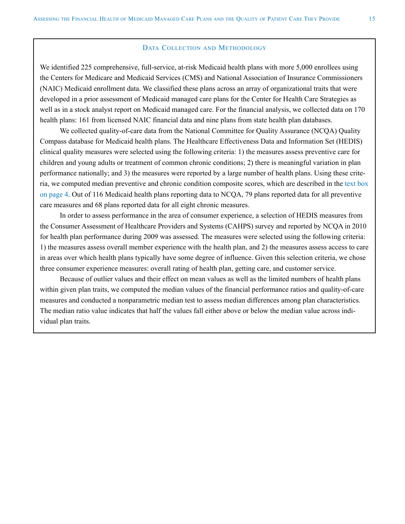#### DATA COLLECTION AND METHODOLOGY

<span id="page-14-0"></span>We identified 225 comprehensive, full-service, at-risk Medicaid health plans with more 5,000 enrollees using the Centers for Medicare and Medicaid Services (CMS) and National Association of Insurance Commissioners (NAIC) Medicaid enrollment data. We classified these plans across an array of organizational traits that were developed in a prior assessment of Medicaid managed care plans for the Center for Health Care Strategies as well as in a stock analyst report on Medicaid managed care. For the financial analysis, we collected data on 170 health plans: 161 from licensed NAIC financial data and nine plans from state health plan databases.

We collected quality-of-care data from the National Committee for Quality Assurance (NCQA) Quality Compass database for Medicaid health plans. The Healthcare Effectiveness Data and Information Set (HEDIS) clinical quality measures were selected using the following criteria: 1) the measures assess preventive care for children and young adults or treatment of common chronic conditions; 2) there is meaningful variation in plan performance nationally; and 3) the measures were reported by a large number of health plans. Using these criteria, we computed median preventive and chronic condition composite scores, which are described in the [text box](#page-3-0)  [on page 4](#page-3-0). Out of 116 Medicaid health plans reporting data to NCQA, 79 plans reported data for all preventive care measures and 68 plans reported data for all eight chronic measures.

In order to assess performance in the area of consumer experience, a selection of HEDIS measures from the Consumer Assessment of Healthcare Providers and Systems (CAHPS) survey and reported by NCQA in 2010 for health plan performance during 2009 was assessed. The measures were selected using the following criteria: 1) the measures assess overall member experience with the health plan, and 2) the measures assess access to care in areas over which health plans typically have some degree of influence. Given this selection criteria, we chose three consumer experience measures: overall rating of health plan, getting care, and customer service.

Because of outlier values and their effect on mean values as well as the limited numbers of health plans within given plan traits, we computed the median values of the financial performance ratios and quality-of-care measures and conducted a nonparametric median test to assess median differences among plan characteristics. The median ratio value indicates that half the values fall either above or below the median value across individual plan traits.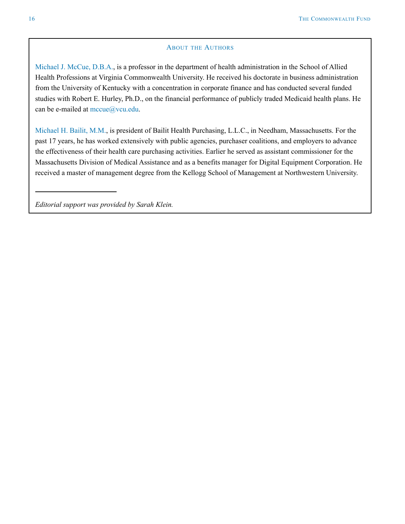#### **ABOUT THE AUTHORS**

Michael J. McCue, D.B.A., is a professor in the department of health administration in the School of Allied Health Professions at Virginia Commonwealth University. He received his doctorate in business administration from the University of Kentucky with a concentration in corporate finance and has conducted several funded studies with Robert E. Hurley, Ph.D., on the financial performance of publicly traded Medicaid health plans. He can be e-mailed at [mccue@vcu.edu.](mailto:mccue@vcu.edu)

Michael H. Bailit, M.M., is president of Bailit Health Purchasing, L.L.C., in Needham, Massachusetts. For the past 17 years, he has worked extensively with public agencies, purchaser coalitions, and employers to advance the effectiveness of their health care purchasing activities. Earlier he served as assistant commissioner for the Massachusetts Division of Medical Assistance and as a benefits manager for Digital Equipment Corporation. He received a master of management degree from the Kellogg School of Management at Northwestern University.

*Editorial support was provided by Sarah Klein.*